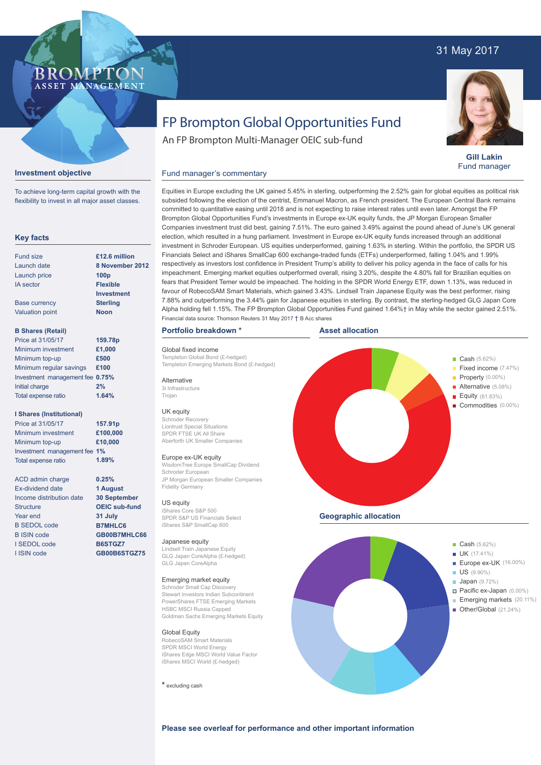## 31 May 2017



**Gill Lakin** Fund manager

# FP Brompton Global Opportunities Fund

Equities in Europe excluding the UK gained 5.45% in sterling, outperforming the 2.52% gain for global equities as political risk subsided following the election of the centrist, Emmanuel Macron, as French president. The European Central Bank remains committed to quantitative easing until 2018 and is not expecting to raise interest rates until even later. Amongst the FP Brompton Global Opportunities Fund's investments in Europe ex-UK equity funds, the JP Morgan European Smaller Companies investment trust did best, gaining 7.51%. The euro gained 3.49% against the pound ahead of June's UK general

An FP Brompton Multi-Manager OEIC sub-fund

## **Investment objective**

**BROMP** 

ASSET MANAGEMENT

To achieve long-term capital growth with the flexibility to invest in all major asset classes.

### **Key facts**

| Fund size              | £12.6 million     |
|------------------------|-------------------|
| Launch date            | 8 November 20     |
| Launch price           | 100 <sub>p</sub>  |
| <b>IA</b> sector       | <b>Flexible</b>   |
|                        | <b>Investment</b> |
| <b>Base currency</b>   | <b>Sterling</b>   |
| <b>Valuation point</b> | <b>Noon</b>       |
|                        |                   |
|                        |                   |

## **B Shares (Retail)**

| Price at 31/05/17               | 159.78p |
|---------------------------------|---------|
| Minimum investment              | £1,000  |
| Minimum top-up                  | £500    |
| Minimum regular savings         | £100    |
| Investment management fee 0.75% |         |
| Initial charge                  | 2%      |
| Total expense ratio             | 1.64%   |

### **I Shares (Institutional)**

Minimum investment Minimum top-up Investment management fee **1%** Total expense ratio **£100,000 £10,000 157.91p** Price at 31/05/17 **1.89%**

> **0.25% 1 August 30 September OEIC sub-fund 31 July B7MHLC6 GB00B7MHLC66 B6STGZ7 GB00B6STGZ75**

ACD admin charge Ex-dividend date Income distribution date **Structure** Year end B SEDOL code B ISIN code I SEDOL code I ISIN code

election, which resulted in a hung parliament. Investment in Europe ex-UK equity funds increased through an additional investment in Schroder European. US equities underperformed, gaining 1.63% in sterling. Within the portfolio, the SPDR US Financials Select and iShares SmallCap 600 exchange-traded funds (ETFs) underperformed, falling 1.04% and 1.99% respectively as investors lost confidence in President Trump's ability to deliver his policy agenda in the face of calls for his impeachment. Emerging market equities outperformed overall, rising 3.20%, despite the 4.80% fall for Brazilian equities on fears that President Temer would be impeached. The holding in the SPDR World Energy ETF, down 1.13%, was reduced in favour of RobecoSAM Smart Materials, which gained 3.43%. Lindsell Train Japanese Equity was the best performer, rising **8 November 2012** Financial data source: Thomson Reuters 31 May 2017 † B Acc shares

## **Portfolio breakdown \***

Global fixed income Templeton Global Bond (£-hedged) Templeton Emerging Markets Bond (£-hedged)

Fund manager's commentary

#### Alternative

3i Infrastructure Trojan

## UK equity

Schroder Recovery Liontrust Special Situations SPDR FTSE UK All Share Aberforth UK Smaller Companies

#### Europe ex-UK equity

WisdomTree Europe SmallCap Dividend Schroder European JP Morgan European Smaller Companies Fidelity Germany

## US equity

iShares Core S&P 500 SPDR S&P US Financials Select iShares S&P SmallCap 600

#### Japanese equity

Lindsell Train Japanese Equity GLG Japan CoreAlpha (£-hedged) GLG Japan CoreAlpha

## Emerging market equity

Schroder Small Cap Discovery Stewart Investors Indian Subcontinent PowerShares FTSE Emerging Markets HSBC MSCI Russia Capped Goldman Sachs Emerging Markets Equity

#### Global Equity

RobecoSAM Smart Materials SPDR MSCI World Energy iShares Edge MSCI World Value Factor iShares MSCI World (£-hedged)

**\*** excluding cash